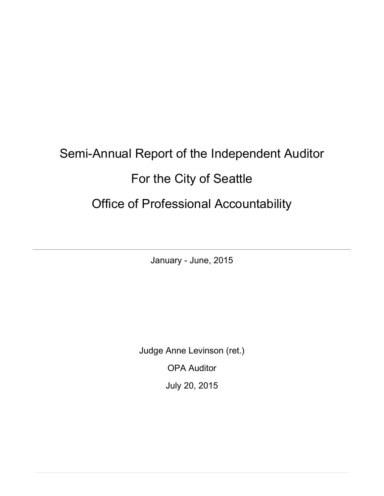# Semi-Annual Report of the Independent Auditor For the City of Seattle Office of Professional Accountability

January - June, 2015

Judge Anne Levinson (ret.) OPA Auditor July 20, 2015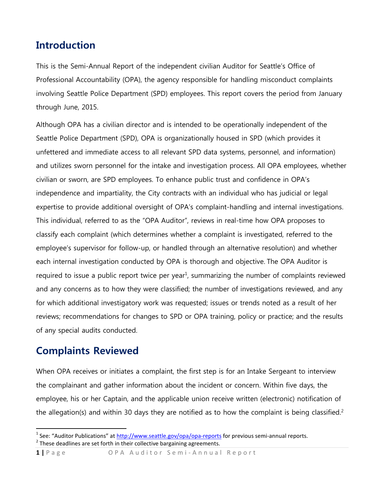# **Introduction**

This is the Semi-Annual Report of the independent civilian Auditor for Seattle's Office of Professional Accountability (OPA), the agency responsible for handling misconduct complaints involving Seattle Police Department (SPD) employees. This report covers the period from January through June, 2015.

Although OPA has a civilian director and is intended to be operationally independent of the Seattle Police Department (SPD), OPA is organizationally housed in SPD (which provides it unfettered and immediate access to all relevant SPD data systems, personnel, and information) and utilizes sworn personnel for the intake and investigation process. All OPA employees, whether civilian or sworn, are SPD employees. To enhance public trust and confidence in OPA's independence and impartiality, the City contracts with an individual who has judicial or legal expertise to provide additional oversight of OPA's complaint-handling and internal investigations. This individual, referred to as the "OPA Auditor", reviews in real-time how OPA proposes to classify each complaint (which determines whether a complaint is investigated, referred to the employee's supervisor for follow-up, or handled through an alternative resolution) and whether each internal investigation conducted by OPA is thorough and objective. The OPA Auditor is required to issue a public report twice per year<sup>1</sup>, summarizing the number of complaints reviewed and any concerns as to how they were classified; the number of investigations reviewed, and any for which additional investigatory work was requested; issues or trends noted as a result of her reviews; recommendations for changes to SPD or OPA training, policy or practice; and the results of any special audits conducted.

# **Complaints Reviewed**

When OPA receives or initiates a complaint, the first step is for an Intake Sergeant to interview the complainant and gather information about the incident or concern. Within five days, the employee, his or her Captain, and the applicable union receive written (electronic) notification of the allegation(s) and within 30 days they are notified as to how the complaint is being classified.<sup>2</sup>

 $\overline{a}$ <sup>1</sup> See: "Auditor Publications" at <u><http://www.seattle.gov/opa/opa-reports></u> for previous semi-annual reports.  $2$  These deadlines are set forth in their collective bargaining agreements.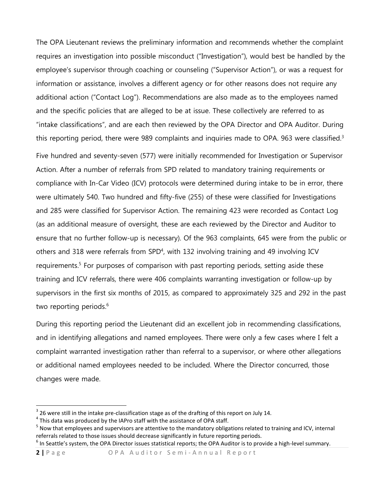The OPA Lieutenant reviews the preliminary information and recommends whether the complaint requires an investigation into possible misconduct ("Investigation"), would best be handled by the employee's supervisor through coaching or counseling ("Supervisor Action"), or was a request for information or assistance, involves a different agency or for other reasons does not require any additional action ("Contact Log"). Recommendations are also made as to the employees named and the specific policies that are alleged to be at issue. These collectively are referred to as "intake classifications", and are each then reviewed by the OPA Director and OPA Auditor. During this reporting period, there were 989 complaints and inquiries made to OPA. 963 were classified.<sup>3</sup> Five hundred and seventy-seven (577) were initially recommended for Investigation or Supervisor Action. After a number of referrals from SPD related to mandatory training requirements or compliance with In-Car Video (ICV) protocols were determined during intake to be in error, there were ultimately 540. Two hundred and fifty-five (255) of these were classified for Investigations and 285 were classified for Supervisor Action. The remaining 423 were recorded as Contact Log (as an additional measure of oversight, these are each reviewed by the Director and Auditor to ensure that no further follow-up is necessary). Of the 963 complaints, 645 were from the public or others and 318 were referrals from SPD<sup>4</sup>, with 132 involving training and 49 involving ICV requirements. <sup>5</sup> For purposes of comparison with past reporting periods, setting aside these training and ICV referrals, there were 406 complaints warranting investigation or follow-up by supervisors in the first six months of 2015, as compared to approximately 325 and 292 in the past

During this reporting period the Lieutenant did an excellent job in recommending classifications, and in identifying allegations and named employees. There were only a few cases where I felt a complaint warranted investigation rather than referral to a supervisor, or where other allegations or additional named employees needed to be included. Where the Director concurred, those changes were made.

two reporting periods. 6

 $\ddot{\phantom{a}}$ 

 $^6$  In Seattle's system, the OPA Director issues statistical reports; the OPA Auditor is to provide a high-level summary.

 $3$  26 were still in the intake pre-classification stage as of the drafting of this report on July 14.

 $^4$  This data was produced by the IAPro staff with the assistance of OPA staff.

<sup>&</sup>lt;sup>5</sup> Now that employees and supervisors are attentive to the mandatory obligations related to training and ICV, internal referrals related to those issues should decrease significantly in future reporting periods.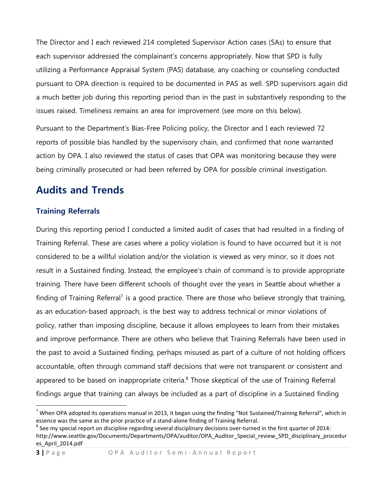The Director and I each reviewed 214 completed Supervisor Action cases (SAs) to ensure that each supervisor addressed the complainant's concerns appropriately. Now that SPD is fully utilizing a Performance Appraisal System (PAS) database, any coaching or counseling conducted pursuant to OPA direction is required to be documented in PAS as well. SPD supervisors again did a much better job during this reporting period than in the past in substantively responding to the issues raised. Timeliness remains an area for improvement (see more on this below).

Pursuant to the Department's Bias-Free Policing policy, the Director and I each reviewed 72 reports of possible bias handled by the supervisory chain, and confirmed that none warranted action by OPA. I also reviewed the status of cases that OPA was monitoring because they were being criminally prosecuted or had been referred by OPA for possible criminal investigation.

# **Audits and Trends**

# **Training Referrals**

 $\ddot{\phantom{a}}$ 

During this reporting period I conducted a limited audit of cases that had resulted in a finding of Training Referral. These are cases where a policy violation is found to have occurred but it is not considered to be a willful violation and/or the violation is viewed as very minor, so it does not result in a Sustained finding. Instead, the employee's chain of command is to provide appropriate training. There have been different schools of thought over the years in Seattle about whether a finding of Training Referral<sup>7</sup> is a good practice. There are those who believe strongly that training, as an education-based approach, is the best way to address technical or minor violations of policy, rather than imposing discipline, because it allows employees to learn from their mistakes and improve performance. There are others who believe that Training Referrals have been used in the past to avoid a Sustained finding, perhaps misused as part of a culture of not holding officers accountable, often through command staff decisions that were not transparent or consistent and appeared to be based on inappropriate criteria.<sup>8</sup> Those skeptical of the use of Training Referral findings argue that training can always be included as a part of discipline in a Sustained finding

 $^7$  When OPA adopted its operations manual in 2013, it began using the finding "Not Sustained/Training Referral", which in essence was the same as the prior practice of a stand-alone finding of Training Referral.

 $^8$  See my special report on discipline regarding several disciplinary decisions over-turned in the first quarter of 2014: http://www.seattle.gov/Documents/Departments/OPA/auditor/OPA\_Auditor\_Special\_review\_SPD\_disciplinary\_procedur es\_April\_2014.pdf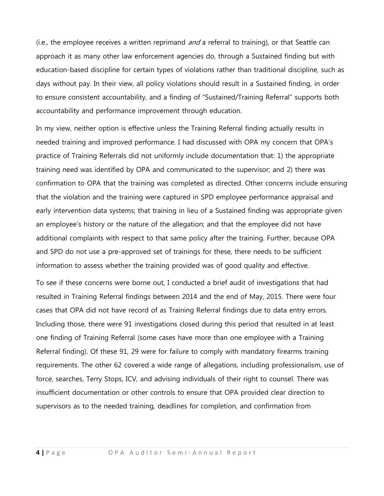(i.e., the employee receives a written reprimand  $and$  a referral to training), or that Seattle can approach it as many other law enforcement agencies do, through a Sustained finding but with education-based discipline for certain types of violations rather than traditional discipline, such as days without pay. In their view, all policy violations should result in a Sustained finding, in order to ensure consistent accountability, and a finding of "Sustained/Training Referral" supports both accountability and performance improvement through education.

In my view, neither option is effective unless the Training Referral finding actually results in needed training and improved performance. I had discussed with OPA my concern that OPA's practice of Training Referrals did not uniformly include documentation that: 1) the appropriate training need was identified by OPA and communicated to the supervisor; and 2) there was confirmation to OPA that the training was completed as directed. Other concerns include ensuring that the violation and the training were captured in SPD employee performance appraisal and early intervention data systems; that training in lieu of a Sustained finding was appropriate given an employee's history or the nature of the allegation; and that the employee did not have additional complaints with respect to that same policy after the training. Further, because OPA and SPD do not use a pre-approved set of trainings for these, there needs to be sufficient information to assess whether the training provided was of good quality and effective.

To see if these concerns were borne out, I conducted a brief audit of investigations that had resulted in Training Referral findings between 2014 and the end of May, 2015. There were four cases that OPA did not have record of as Training Referral findings due to data entry errors. Including those, there were 91 investigations closed during this period that resulted in at least one finding of Training Referral (some cases have more than one employee with a Training Referral finding). Of these 91, 29 were for failure to comply with mandatory firearms training requirements. The other 62 covered a wide range of allegations, including professionalism, use of force, searches, Terry Stops, ICV, and advising individuals of their right to counsel. There was insufficient documentation or other controls to ensure that OPA provided clear direction to supervisors as to the needed training, deadlines for completion, and confirmation from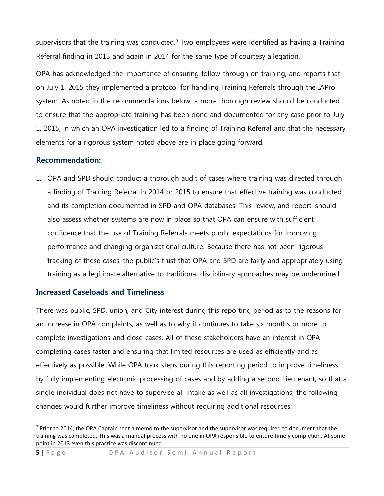supervisors that the training was conducted. $9$  Two employees were identified as having a Training Referral finding in 2013 and again in 2014 for the same type of courtesy allegation.

OPA has acknowledged the importance of ensuring follow-through on training, and reports that on July 1, 2015 they implemented a protocol for handling Training Referrals through the IAPro system. As noted in the recommendations below, a more thorough review should be conducted to ensure that the appropriate training has been done and documented for any case prior to July 1, 2015, in which an OPA investigation led to a finding of Training Referral and that the necessary elements for a rigorous system noted above are in place going forward.

# **Recommendation:**

 $\overline{a}$ 

1. OPA and SPD should conduct a thorough audit of cases where training was directed through a finding of Training Referral in 2014 or 2015 to ensure that effective training was conducted and its completion documented in SPD and OPA databases. This review, and report, should also assess whether systems are now in place so that OPA can ensure with sufficient confidence that the use of Training Referrals meets public expectations for improving performance and changing organizational culture. Because there has not been rigorous tracking of these cases, the public's trust that OPA and SPD are fairly and appropriately using training as a legitimate alternative to traditional disciplinary approaches may be undermined.

# **Increased Caseloads and Timeliness**

There was public, SPD, union, and City interest during this reporting period as to the reasons for an increase in OPA complaints, as well as to why it continues to take six months or more to complete investigations and close cases. All of these stakeholders have an interest in OPA completing cases faster and ensuring that limited resources are used as efficiently and as effectively as possible. While OPA took steps during this reporting period to improve timeliness by fully implementing electronic processing of cases and by adding a second Lieutenant, so that a single individual does not have to supervise all intake as well as all investigations, the following changes would further improve timeliness without requiring additional resources.

 $9$  Prior to 2014, the OPA Captain sent a memo to the supervisor and the supervisor was required to document that the training was completed. This was a manual process with no one in OPA responsible to ensure timely completion. At some point in 2013 even this practice was discontinued.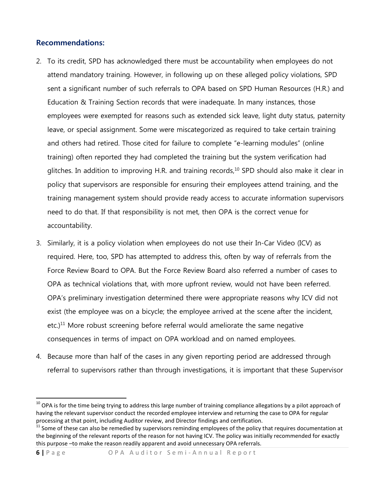# **Recommendations:**

- 2. To its credit, SPD has acknowledged there must be accountability when employees do not attend mandatory training. However, in following up on these alleged policy violations, SPD sent a significant number of such referrals to OPA based on SPD Human Resources (H.R.) and Education & Training Section records that were inadequate. In many instances, those employees were exempted for reasons such as extended sick leave, light duty status, paternity leave, or special assignment. Some were miscategorized as required to take certain training and others had retired. Those cited for failure to complete "e-learning modules" (online training) often reported they had completed the training but the system verification had glitches. In addition to improving H.R. and training records, <sup>10</sup> SPD should also make it clear in policy that supervisors are responsible for ensuring their employees attend training, and the training management system should provide ready access to accurate information supervisors need to do that. If that responsibility is not met, then OPA is the correct venue for accountability.
- 3. Similarly, it is a policy violation when employees do not use their In-Car Video (ICV) as required. Here, too, SPD has attempted to address this, often by way of referrals from the Force Review Board to OPA. But the Force Review Board also referred a number of cases to OPA as technical violations that, with more upfront review, would not have been referred. OPA's preliminary investigation determined there were appropriate reasons why ICV did not exist (the employee was on a bicycle; the employee arrived at the scene after the incident,  $etc.<sup>11</sup>$  More robust screening before referral would ameliorate the same negative consequences in terms of impact on OPA workload and on named employees.
- 4. Because more than half of the cases in any given reporting period are addressed through referral to supervisors rather than through investigations, it is important that these Supervisor

 $10$  OPA is for the time being trying to address this large number of training compliance allegations by a pilot approach of having the relevant supervisor conduct the recorded employee interview and returning the case to OPA for regular processing at that point, including Auditor review, and Director findings and certification.

 $\frac{1}{11}$  Some of these can also be remedied by supervisors reminding employees of the policy that requires documentation at the beginning of the relevant reports of the reason for not having ICV. The policy was initially recommended for exactly this purpose –to make the reason readily apparent and avoid unnecessary OPA referrals.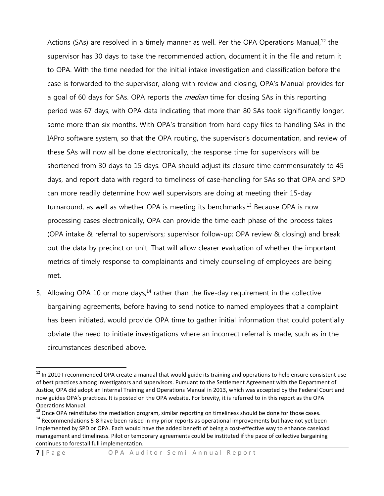Actions (SAs) are resolved in a timely manner as well. Per the OPA Operations Manual,<sup>12</sup> the supervisor has 30 days to take the recommended action, document it in the file and return it to OPA. With the time needed for the initial intake investigation and classification before the case is forwarded to the supervisor, along with review and closing, OPA's Manual provides for a goal of 60 days for SAs. OPA reports the *median* time for closing SAs in this reporting period was 67 days, with OPA data indicating that more than 80 SAs took significantly longer, some more than six months. With OPA's transition from hard copy files to handling SAs in the IAPro software system, so that the OPA routing, the supervisor's documentation, and review of these SAs will now all be done electronically, the response time for supervisors will be shortened from 30 days to 15 days. OPA should adjust its closure time commensurately to 45 days, and report data with regard to timeliness of case-handling for SAs so that OPA and SPD can more readily determine how well supervisors are doing at meeting their 15-day turnaround, as well as whether OPA is meeting its benchmarks. <sup>13</sup> Because OPA is now processing cases electronically, OPA can provide the time each phase of the process takes (OPA intake & referral to supervisors; supervisor follow-up; OPA review & closing) and break out the data by precinct or unit. That will allow clearer evaluation of whether the important metrics of timely response to complainants and timely counseling of employees are being met.

5. Allowing OPA 10 or more days,<sup>14</sup> rather than the five-day requirement in the collective bargaining agreements, before having to send notice to named employees that a complaint has been initiated, would provide OPA time to gather initial information that could potentially obviate the need to initiate investigations where an incorrect referral is made, such as in the circumstances described above.

<sup>&</sup>lt;sup>12</sup> In 2010 I recommended OPA create a manual that would guide its training and operations to help ensure consistent use of best practices among investigators and supervisors. Pursuant to the Settlement Agreement with the Department of Justice, OPA did adopt an Internal Training and Operations Manual in 2013, which was accepted by the Federal Court and now guides OPA's practices. It is posted on the OPA website. For brevity, it is referred to in this report as the OPA Operations Manual.

<sup>&</sup>lt;sup>13</sup> Once OPA reinstitutes the mediation program, similar reporting on timeliness should be done for those cases. <sup>14</sup> Recommendations 5-8 have been raised in my prior reports as operational improvements but have not yet been implemented by SPD or OPA. Each would have the added benefit of being a cost-effective way to enhance caseload management and timeliness. Pilot or temporary agreements could be instituted if the pace of collective bargaining continues to forestall full implementation.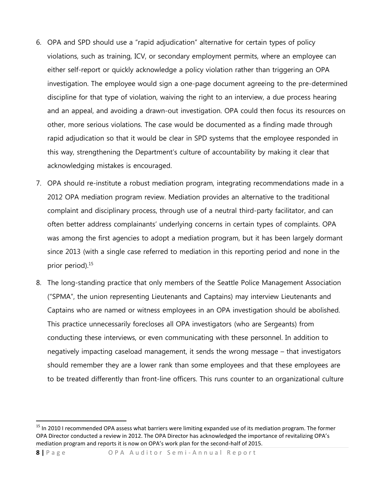- 6. OPA and SPD should use a "rapid adjudication" alternative for certain types of policy violations, such as training, ICV, or secondary employment permits, where an employee can either self-report or quickly acknowledge a policy violation rather than triggering an OPA investigation. The employee would sign a one-page document agreeing to the pre-determined discipline for that type of violation, waiving the right to an interview, a due process hearing and an appeal, and avoiding a drawn-out investigation. OPA could then focus its resources on other, more serious violations. The case would be documented as a finding made through rapid adjudication so that it would be clear in SPD systems that the employee responded in this way, strengthening the Department's culture of accountability by making it clear that acknowledging mistakes is encouraged.
- 7. OPA should re-institute a robust mediation program, integrating recommendations made in a 2012 OPA mediation program review. Mediation provides an alternative to the traditional complaint and disciplinary process, through use of a neutral third-party facilitator, and can often better address complainants' underlying concerns in certain types of complaints. OPA was among the first agencies to adopt a mediation program, but it has been largely dormant since 2013 (with a single case referred to mediation in this reporting period and none in the prior period). 15
- 8. The long-standing practice that only members of the Seattle Police Management Association ("SPMA", the union representing Lieutenants and Captains) may interview Lieutenants and Captains who are named or witness employees in an OPA investigation should be abolished. This practice unnecessarily forecloses all OPA investigators (who are Sergeants) from conducting these interviews, or even communicating with these personnel. In addition to negatively impacting caseload management, it sends the wrong message – that investigators should remember they are a lower rank than some employees and that these employees are to be treated differently than front-line officers. This runs counter to an organizational culture

<sup>&</sup>lt;sup>15</sup> In 2010 I recommended OPA assess what barriers were limiting expanded use of its mediation program. The former OPA Director conducted a review in 2012. The OPA Director has acknowledged the importance of revitalizing OPA's mediation program and reports it is now on OPA's work plan for the second-half of 2015.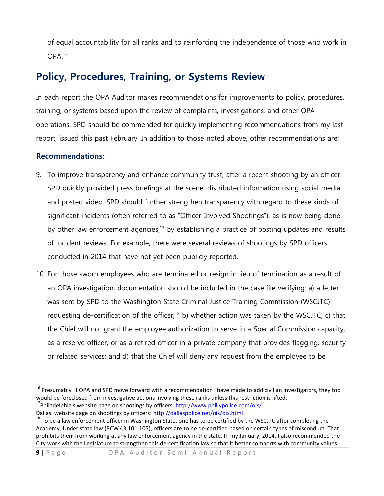of equal accountability for all ranks and to reinforcing the independence of those who work in OPA. 16

# **Policy, Procedures, Training, or Systems Review**

In each report the OPA Auditor makes recommendations for improvements to policy, procedures, training, or systems based upon the review of complaints, investigations, and other OPA operations. SPD should be commended for quickly implementing recommendations from my last report, issued this past February. In addition to those noted above, other recommendations are:

# **Recommendations:**

 $\overline{a}$ 

- 9. To improve transparency and enhance community trust, after a recent shooting by an officer SPD quickly provided press briefings at the scene, distributed information using social media and posted video. SPD should further strengthen transparency with regard to these kinds of significant incidents (often referred to as "Officer-Involved Shootings"), as is now being done by other law enforcement agencies,<sup>17</sup> by establishing a practice of posting updates and results of incident reviews. For example, there were several reviews of shootings by SPD officers conducted in 2014 that have not yet been publicly reported.
- 10. For those sworn employees who are terminated or resign in lieu of termination as a result of an OPA investigation, documentation should be included in the case file verifying: a) a letter was sent by SPD to the Washington State Criminal Justice Training Commission (WSCJTC) requesting de-certification of the officer;<sup>18</sup> b) whether action was taken by the WSCJTC; c) that the Chief will not grant the employee authorization to serve in a Special Commission capacity, as a reserve officer, or as a retired officer in a private company that provides flagging, security or related services; and d) that the Chief will deny any request from the employee to be

Dallas' website page on shootings by officers: <http://dallaspolice.net/ois/ois.html>

<sup>&</sup>lt;sup>16</sup> Presumably, if OPA and SPD move forward with a recommendation I have made to add civilian investigators, they too would be foreclosed from investigative actions involving these ranks unless this restriction is lifted. <sup>17</sup>Philadelphia's website page on shootings by officers: <http://www.phillypolice.com/ois/>

 $18$  To be a law enforcement officer in Washington State, one has to be certified by the WSCJTC after completing the Academy. Under state law (RCW 43.101.105), officers are to be de-certified based on certain types of misconduct. That prohibits them from working at any law enforcement agency in the state. In my January, 2014, I also recommended the City work with the Legislature to strengthen this de-certification law so that it better comports with community values.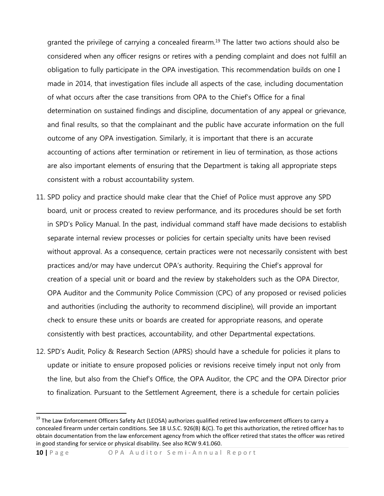granted the privilege of carrying a concealed firearm.<sup>19</sup> The latter two actions should also be considered when any officer resigns or retires with a pending complaint and does not fulfill an obligation to fully participate in the OPA investigation. This recommendation builds on one I made in 2014, that investigation files include all aspects of the case, including documentation of what occurs after the case transitions from OPA to the Chief's Office for a final determination on sustained findings and discipline, documentation of any appeal or grievance, and final results, so that the complainant and the public have accurate information on the full outcome of any OPA investigation. Similarly, it is important that there is an accurate accounting of actions after termination or retirement in lieu of termination, as those actions are also important elements of ensuring that the Department is taking all appropriate steps consistent with a robust accountability system.

- 11. SPD policy and practice should make clear that the Chief of Police must approve any SPD board, unit or process created to review performance, and its procedures should be set forth in SPD's Policy Manual. In the past, individual command staff have made decisions to establish separate internal review processes or policies for certain specialty units have been revised without approval. As a consequence, certain practices were not necessarily consistent with best practices and/or may have undercut OPA's authority. Requiring the Chief's approval for creation of a special unit or board and the review by stakeholders such as the OPA Director, OPA Auditor and the Community Police Commission (CPC) of any proposed or revised policies and authorities (including the authority to recommend discipline), will provide an important check to ensure these units or boards are created for appropriate reasons, and operate consistently with best practices, accountability, and other Departmental expectations.
- 12. SPD's Audit, Policy & Research Section (APRS) should have a schedule for policies it plans to update or initiate to ensure proposed policies or revisions receive timely input not only from the line, but also from the Chief's Office, the OPA Auditor, the CPC and the OPA Director prior to finalization. Pursuant to the Settlement Agreement, there is a schedule for certain policies

<sup>&</sup>lt;sup>19</sup> The Law Enforcement Officers Safety Act (LEOSA) authorizes qualified retired law enforcement officers to carry a concealed firearm under certain conditions. See 18 U.S.C. 926(B) &(C). To get this authorization, the retired officer has to obtain documentation from the law enforcement agency from which the officer retired that states the officer was retired in good standing for service or physical disability. See also RCW 9.41.060.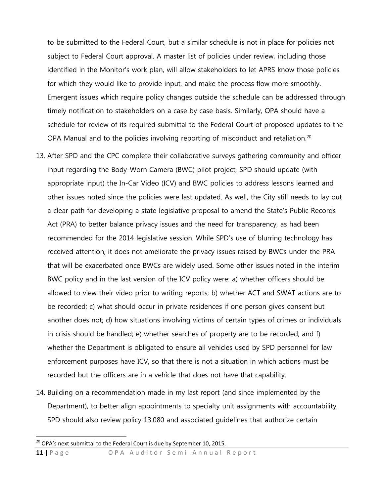to be submitted to the Federal Court, but a similar schedule is not in place for policies not subject to Federal Court approval. A master list of policies under review, including those identified in the Monitor's work plan, will allow stakeholders to let APRS know those policies for which they would like to provide input, and make the process flow more smoothly. Emergent issues which require policy changes outside the schedule can be addressed through timely notification to stakeholders on a case by case basis. Similarly, OPA should have a schedule for review of its required submittal to the Federal Court of proposed updates to the OPA Manual and to the policies involving reporting of misconduct and retaliation.<sup>20</sup>

- 13. After SPD and the CPC complete their collaborative surveys gathering community and officer input regarding the Body-Worn Camera (BWC) pilot project, SPD should update (with appropriate input) the In-Car Video (ICV) and BWC policies to address lessons learned and other issues noted since the policies were last updated. As well, the City still needs to lay out a clear path for developing a state legislative proposal to amend the State's Public Records Act (PRA) to better balance privacy issues and the need for transparency, as had been recommended for the 2014 legislative session. While SPD's use of blurring technology has received attention, it does not ameliorate the privacy issues raised by BWCs under the PRA that will be exacerbated once BWCs are widely used. Some other issues noted in the interim BWC policy and in the last version of the ICV policy were: a) whether officers should be allowed to view their video prior to writing reports; b) whether ACT and SWAT actions are to be recorded; c) what should occur in private residences if one person gives consent but another does not; d) how situations involving victims of certain types of crimes or individuals in crisis should be handled; e) whether searches of property are to be recorded; and f) whether the Department is obligated to ensure all vehicles used by SPD personnel for law enforcement purposes have ICV, so that there is not a situation in which actions must be recorded but the officers are in a vehicle that does not have that capability.
- 14. Building on a recommendation made in my last report (and since implemented by the Department), to better align appointments to specialty unit assignments with accountability, SPD should also review policy 13.080 and associated guidelines that authorize certain

 $^{20}$  OPA's next submittal to the Federal Court is due by September 10, 2015.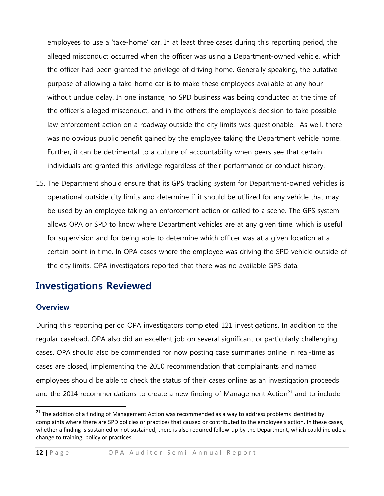employees to use a 'take-home' car. In at least three cases during this reporting period, the alleged misconduct occurred when the officer was using a Department-owned vehicle, which the officer had been granted the privilege of driving home. Generally speaking, the putative purpose of allowing a take-home car is to make these employees available at any hour without undue delay. In one instance, no SPD business was being conducted at the time of the officer's alleged misconduct, and in the others the employee's decision to take possible law enforcement action on a roadway outside the city limits was questionable. As well, there was no obvious public benefit gained by the employee taking the Department vehicle home. Further, it can be detrimental to a culture of accountability when peers see that certain individuals are granted this privilege regardless of their performance or conduct history.

15. The Department should ensure that its GPS tracking system for Department-owned vehicles is operational outside city limits and determine if it should be utilized for any vehicle that may be used by an employee taking an enforcement action or called to a scene. The GPS system allows OPA or SPD to know where Department vehicles are at any given time, which is useful for supervision and for being able to determine which officer was at a given location at a certain point in time. In OPA cases where the employee was driving the SPD vehicle outside of the city limits, OPA investigators reported that there was no available GPS data.

# **Investigations Reviewed**

# **Overview**

 $\overline{a}$ 

During this reporting period OPA investigators completed 121 investigations. In addition to the regular caseload, OPA also did an excellent job on several significant or particularly challenging cases. OPA should also be commended for now posting case summaries online in real-time as cases are closed, implementing the 2010 recommendation that complainants and named employees should be able to check the status of their cases online as an investigation proceeds and the 2014 recommendations to create a new finding of Management Action $21$  and to include

 $^{21}$  The addition of a finding of Management Action was recommended as a way to address problems identified by complaints where there are SPD policies or practices that caused or contributed to the employee's action. In these cases, whether a finding is sustained or not sustained, there is also required follow-up by the Department, which could include a change to training, policy or practices.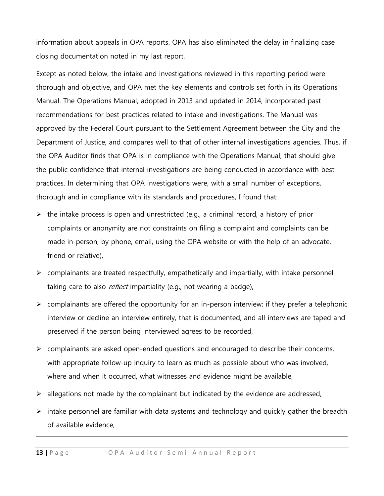information about appeals in OPA reports. OPA has also eliminated the delay in finalizing case closing documentation noted in my last report.

Except as noted below, the intake and investigations reviewed in this reporting period were thorough and objective, and OPA met the key elements and controls set forth in its Operations Manual. The Operations Manual, adopted in 2013 and updated in 2014, incorporated past recommendations for best practices related to intake and investigations. The Manual was approved by the Federal Court pursuant to the Settlement Agreement between the City and the Department of Justice, and compares well to that of other internal investigations agencies. Thus, if the OPA Auditor finds that OPA is in compliance with the Operations Manual, that should give the public confidence that internal investigations are being conducted in accordance with best practices. In determining that OPA investigations were, with a small number of exceptions, thorough and in compliance with its standards and procedures, I found that:

- $\triangleright$  the intake process is open and unrestricted (e.g., a criminal record, a history of prior complaints or anonymity are not constraints on filing a complaint and complaints can be made in-person, by phone, email, using the OPA website or with the help of an advocate, friend or relative),
- $\triangleright$  complainants are treated respectfully, empathetically and impartially, with intake personnel taking care to also *reflect* impartiality (e.g., not wearing a badge),
- $\triangleright$  complainants are offered the opportunity for an in-person interview; if they prefer a telephonic interview or decline an interview entirely, that is documented, and all interviews are taped and preserved if the person being interviewed agrees to be recorded,
- $\triangleright$  complainants are asked open-ended questions and encouraged to describe their concerns, with appropriate follow-up inquiry to learn as much as possible about who was involved, where and when it occurred, what witnesses and evidence might be available,
- $\triangleright$  allegations not made by the complainant but indicated by the evidence are addressed,
- $\triangleright$  intake personnel are familiar with data systems and technology and quickly gather the breadth of available evidence,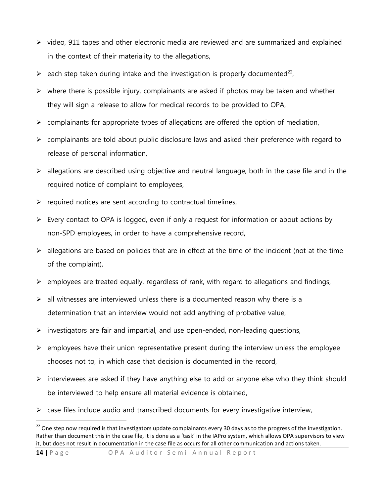- $\triangleright$  video, 911 tapes and other electronic media are reviewed and are summarized and explained in the context of their materiality to the allegations,
- $\triangleright$  each step taken during intake and the investigation is properly documented<sup>22</sup>,
- $\triangleright$  where there is possible injury, complainants are asked if photos may be taken and whether they will sign a release to allow for medical records to be provided to OPA,
- $\triangleright$  complainants for appropriate types of allegations are offered the option of mediation,
- $\triangleright$  complainants are told about public disclosure laws and asked their preference with regard to release of personal information,
- $\triangleright$  allegations are described using objective and neutral language, both in the case file and in the required notice of complaint to employees,
- $\triangleright$  required notices are sent according to contractual timelines,
- $\triangleright$  Every contact to OPA is logged, even if only a request for information or about actions by non-SPD employees, in order to have a comprehensive record,
- $\triangleright$  allegations are based on policies that are in effect at the time of the incident (not at the time of the complaint),
- $\triangleright$  employees are treated equally, regardless of rank, with regard to allegations and findings,
- $\triangleright$  all witnesses are interviewed unless there is a documented reason why there is a determination that an interview would not add anything of probative value,
- $\triangleright$  investigators are fair and impartial, and use open-ended, non-leading questions,
- $\triangleright$  employees have their union representative present during the interview unless the employee chooses not to, in which case that decision is documented in the record,
- $\triangleright$  interviewees are asked if they have anything else to add or anyone else who they think should be interviewed to help ensure all material evidence is obtained,
- $\triangleright$  case files include audio and transcribed documents for every investigative interview,

<sup>&</sup>lt;sup>22</sup> One step now required is that investigators update complainants every 30 days as to the progress of the investigation. Rather than document this in the case file, it is done as a 'task' in the IAPro system, which allows OPA supervisors to view it, but does not result in documentation in the case file as occurs for all other communication and actions taken.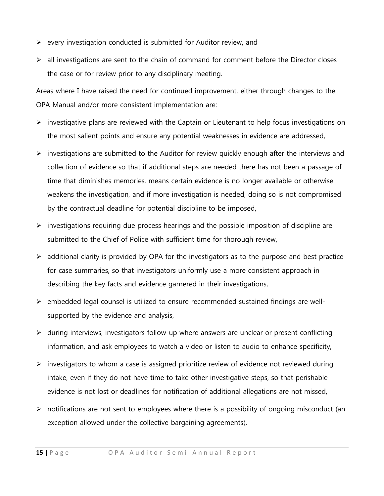- $\triangleright$  every investigation conducted is submitted for Auditor review, and
- $\triangleright$  all investigations are sent to the chain of command for comment before the Director closes the case or for review prior to any disciplinary meeting.

Areas where I have raised the need for continued improvement, either through changes to the OPA Manual and/or more consistent implementation are:

- $\triangleright$  investigative plans are reviewed with the Captain or Lieutenant to help focus investigations on the most salient points and ensure any potential weaknesses in evidence are addressed,
- $\triangleright$  investigations are submitted to the Auditor for review quickly enough after the interviews and collection of evidence so that if additional steps are needed there has not been a passage of time that diminishes memories, means certain evidence is no longer available or otherwise weakens the investigation, and if more investigation is needed, doing so is not compromised by the contractual deadline for potential discipline to be imposed,
- $\triangleright$  investigations requiring due process hearings and the possible imposition of discipline are submitted to the Chief of Police with sufficient time for thorough review,
- $\triangleright$  additional clarity is provided by OPA for the investigators as to the purpose and best practice for case summaries, so that investigators uniformly use a more consistent approach in describing the key facts and evidence garnered in their investigations,
- $\triangleright$  embedded legal counsel is utilized to ensure recommended sustained findings are wellsupported by the evidence and analysis,
- $\triangleright$  during interviews, investigators follow-up where answers are unclear or present conflicting information, and ask employees to watch a video or listen to audio to enhance specificity,
- $\triangleright$  investigators to whom a case is assigned prioritize review of evidence not reviewed during intake, even if they do not have time to take other investigative steps, so that perishable evidence is not lost or deadlines for notification of additional allegations are not missed,
- $\triangleright$  notifications are not sent to employees where there is a possibility of ongoing misconduct (an exception allowed under the collective bargaining agreements),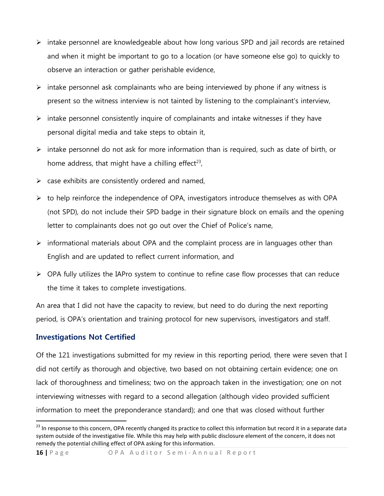- $\triangleright$  intake personnel are knowledgeable about how long various SPD and jail records are retained and when it might be important to go to a location (or have someone else go) to quickly to observe an interaction or gather perishable evidence,
- $\triangleright$  intake personnel ask complainants who are being interviewed by phone if any witness is present so the witness interview is not tainted by listening to the complainant's interview,
- $\triangleright$  intake personnel consistently inquire of complainants and intake witnesses if they have personal digital media and take steps to obtain it,
- $\triangleright$  intake personnel do not ask for more information than is required, such as date of birth, or home address, that might have a chilling effect<sup>23</sup>,
- $\triangleright$  case exhibits are consistently ordered and named,
- $\triangleright$  to help reinforce the independence of OPA, investigators introduce themselves as with OPA (not SPD), do not include their SPD badge in their signature block on emails and the opening letter to complainants does not go out over the Chief of Police's name,
- $\triangleright$  informational materials about OPA and the complaint process are in languages other than English and are updated to reflect current information, and
- $\triangleright$  OPA fully utilizes the IAPro system to continue to refine case flow processes that can reduce the time it takes to complete investigations.

An area that I did not have the capacity to review, but need to do during the next reporting period, is OPA's orientation and training protocol for new supervisors, investigators and staff.

# **Investigations Not Certified**

 $\overline{a}$ 

Of the 121 investigations submitted for my review in this reporting period, there were seven that I did not certify as thorough and objective, two based on not obtaining certain evidence; one on lack of thoroughness and timeliness; two on the approach taken in the investigation; one on not interviewing witnesses with regard to a second allegation (although video provided sufficient information to meet the preponderance standard); and one that was closed without further

<sup>&</sup>lt;sup>23</sup> In response to this concern, OPA recently changed its practice to collect this information but record it in a separate data system outside of the investigative file. While this may help with public disclosure element of the concern, it does not remedy the potential chilling effect of OPA asking for this information.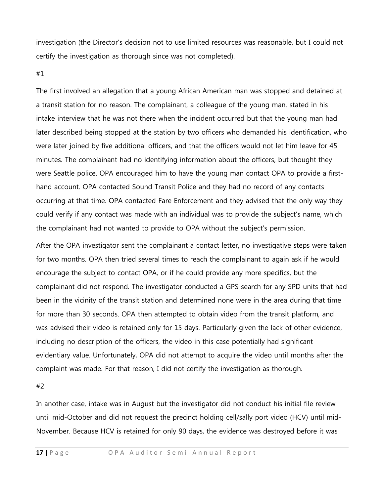investigation (the Director's decision not to use limited resources was reasonable, but I could not certify the investigation as thorough since was not completed).

#### #1

The first involved an allegation that a young African American man was stopped and detained at a transit station for no reason. The complainant, a colleague of the young man, stated in his intake interview that he was not there when the incident occurred but that the young man had later described being stopped at the station by two officers who demanded his identification, who were later joined by five additional officers, and that the officers would not let him leave for 45 minutes. The complainant had no identifying information about the officers, but thought they were Seattle police. OPA encouraged him to have the young man contact OPA to provide a firsthand account. OPA contacted Sound Transit Police and they had no record of any contacts occurring at that time. OPA contacted Fare Enforcement and they advised that the only way they could verify if any contact was made with an individual was to provide the subject's name, which the complainant had not wanted to provide to OPA without the subject's permission.

After the OPA investigator sent the complainant a contact letter, no investigative steps were taken for two months. OPA then tried several times to reach the complainant to again ask if he would encourage the subject to contact OPA, or if he could provide any more specifics, but the complainant did not respond. The investigator conducted a GPS search for any SPD units that had been in the vicinity of the transit station and determined none were in the area during that time for more than 30 seconds. OPA then attempted to obtain video from the transit platform, and was advised their video is retained only for 15 days. Particularly given the lack of other evidence, including no description of the officers, the video in this case potentially had significant evidentiary value. Unfortunately, OPA did not attempt to acquire the video until months after the complaint was made. For that reason, I did not certify the investigation as thorough.

#2

In another case, intake was in August but the investigator did not conduct his initial file review until mid-October and did not request the precinct holding cell/sally port video (HCV) until mid-November. Because HCV is retained for only 90 days, the evidence was destroyed before it was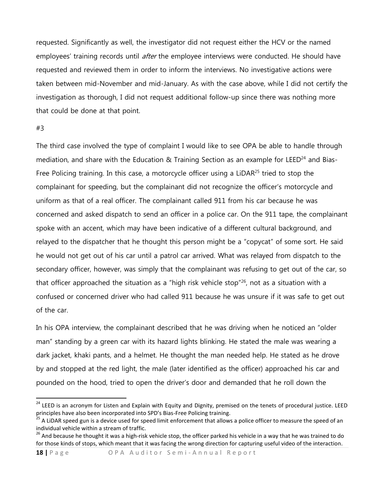requested. Significantly as well, the investigator did not request either the HCV or the named employees' training records until *after* the employee interviews were conducted. He should have requested and reviewed them in order to inform the interviews. No investigative actions were taken between mid-November and mid-January. As with the case above, while I did not certify the investigation as thorough, I did not request additional follow-up since there was nothing more that could be done at that point.

#### #3

 $\overline{a}$ 

The third case involved the type of complaint I would like to see OPA be able to handle through mediation, and share with the Education & Training Section as an example for LEED<sup>24</sup> and Bias-Free Policing training. In this case, a motorcycle officer using a LiDAR<sup>25</sup> tried to stop the complainant for speeding, but the complainant did not recognize the officer's motorcycle and uniform as that of a real officer. The complainant called 911 from his car because he was concerned and asked dispatch to send an officer in a police car. On the 911 tape, the complainant spoke with an accent, which may have been indicative of a different cultural background, and relayed to the dispatcher that he thought this person might be a "copycat" of some sort. He said he would not get out of his car until a patrol car arrived. What was relayed from dispatch to the secondary officer, however, was simply that the complainant was refusing to get out of the car, so that officer approached the situation as a "high risk vehicle stop"<sup>26</sup>, not as a situation with a confused or concerned driver who had called 911 because he was unsure if it was safe to get out of the car.

In his OPA interview, the complainant described that he was driving when he noticed an "older man" standing by a green car with its hazard lights blinking. He stated the male was wearing a dark jacket, khaki pants, and a helmet. He thought the man needed help. He stated as he drove by and stopped at the red light, the male (later identified as the officer) approached his car and pounded on the hood, tried to open the driver's door and demanded that he roll down the

<sup>&</sup>lt;sup>24</sup> LEED is an acronym for Listen and Explain with Equity and Dignity, premised on the tenets of procedural justice. LEED principles have also been incorporated into SPD's Bias-Free Policing training.

<sup>&</sup>lt;sup>25</sup> A LiDAR speed gun is a device used fo[r speed limit enforcement](https://en.wikipedia.org/wiki/Speed_limit_enforcement) that allows a police officer to measure the speed of an individual vehicle within a stream of traffic.

<sup>&</sup>lt;sup>26</sup> And because he thought it was a high-risk vehicle stop, the officer parked his vehicle in a way that he was trained to do for those kinds of stops, which meant that it was facing the wrong direction for capturing useful video of the interaction.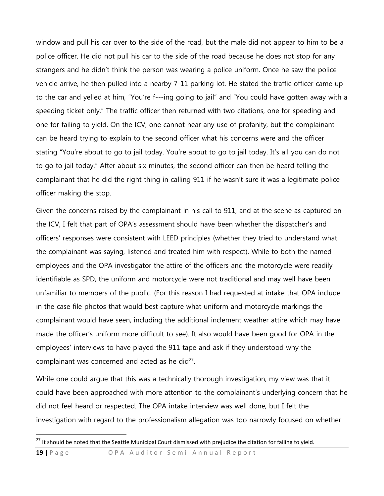window and pull his car over to the side of the road, but the male did not appear to him to be a police officer. He did not pull his car to the side of the road because he does not stop for any strangers and he didn't think the person was wearing a police uniform. Once he saw the police vehicle arrive, he then pulled into a nearby 7-11 parking lot. He stated the traffic officer came up to the car and yelled at him, "You're f---ing going to jail" and "You could have gotten away with a speeding ticket only." The traffic officer then returned with two citations, one for speeding and one for failing to yield. On the ICV, one cannot hear any use of profanity, but the complainant can be heard trying to explain to the second officer what his concerns were and the officer stating "You're about to go to jail today. You're about to go to jail today. It's all you can do not to go to jail today." After about six minutes, the second officer can then be heard telling the complainant that he did the right thing in calling 911 if he wasn't sure it was a legitimate police officer making the stop.

Given the concerns raised by the complainant in his call to 911, and at the scene as captured on the ICV, I felt that part of OPA's assessment should have been whether the dispatcher's and officers' responses were consistent with LEED principles (whether they tried to understand what the complainant was saying, listened and treated him with respect). While to both the named employees and the OPA investigator the attire of the officers and the motorcycle were readily identifiable as SPD, the uniform and motorcycle were not traditional and may well have been unfamiliar to members of the public. (For this reason I had requested at intake that OPA include in the case file photos that would best capture what uniform and motorcycle markings the complainant would have seen, including the additional inclement weather attire which may have made the officer's uniform more difficult to see). It also would have been good for OPA in the employees' interviews to have played the 911 tape and ask if they understood why the complainant was concerned and acted as he did $^{27}$ .

While one could argue that this was a technically thorough investigation, my view was that it could have been approached with more attention to the complainant's underlying concern that he did not feel heard or respected. The OPA intake interview was well done, but I felt the investigation with regard to the professionalism allegation was too narrowly focused on whether

<sup>&</sup>lt;sup>27</sup> It should be noted that the Seattle Municipal Court dismissed with prejudice the citation for failing to yield.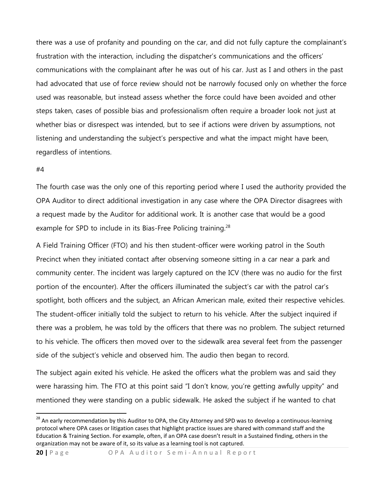there was a use of profanity and pounding on the car, and did not fully capture the complainant's frustration with the interaction, including the dispatcher's communications and the officers' communications with the complainant after he was out of his car. Just as I and others in the past had advocated that use of force review should not be narrowly focused only on whether the force used was reasonable, but instead assess whether the force could have been avoided and other steps taken, cases of possible bias and professionalism often require a broader look not just at whether bias or disrespect was intended, but to see if actions were driven by assumptions, not listening and understanding the subject's perspective and what the impact might have been, regardless of intentions.

#### #4

 $\overline{a}$ 

The fourth case was the only one of this reporting period where I used the authority provided the OPA Auditor to direct additional investigation in any case where the OPA Director disagrees with a request made by the Auditor for additional work. It is another case that would be a good example for SPD to include in its Bias-Free Policing training.<sup>28</sup>

A Field Training Officer (FTO) and his then student-officer were working patrol in the South Precinct when they initiated contact after observing someone sitting in a car near a park and community center. The incident was largely captured on the ICV (there was no audio for the first portion of the encounter). After the officers illuminated the subject's car with the patrol car's spotlight, both officers and the subject, an African American male, exited their respective vehicles. The student-officer initially told the subject to return to his vehicle. After the subject inquired if there was a problem, he was told by the officers that there was no problem. The subject returned to his vehicle. The officers then moved over to the sidewalk area several feet from the passenger side of the subject's vehicle and observed him. The audio then began to record.

The subject again exited his vehicle. He asked the officers what the problem was and said they were harassing him. The FTO at this point said "I don't know, you're getting awfully uppity" and mentioned they were standing on a public sidewalk. He asked the subject if he wanted to chat

<sup>&</sup>lt;sup>28</sup> An early recommendation by this Auditor to OPA, the City Attorney and SPD was to develop a continuous-learning protocol where OPA cases or litigation cases that highlight practice issues are shared with command staff and the Education & Training Section. For example, often, if an OPA case doesn't result in a Sustained finding, others in the organization may not be aware of it, so its value as a learning tool is not captured.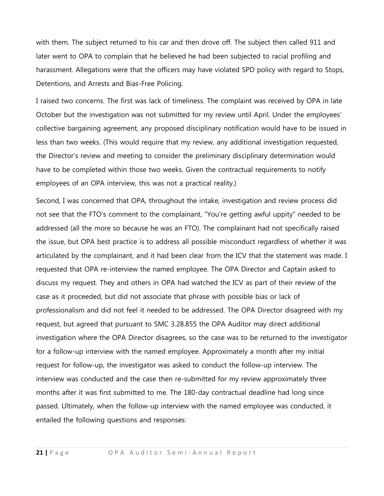with them. The subject returned to his car and then drove off. The subject then called 911 and later went to OPA to complain that he believed he had been subjected to racial profiling and harassment. Allegations were that the officers may have violated SPD policy with regard to Stops, Detentions, and Arrests and Bias-Free Policing.

I raised two concerns. The first was lack of timeliness. The complaint was received by OPA in late October but the investigation was not submitted for my review until April. Under the employees' collective bargaining agreement, any proposed disciplinary notification would have to be issued in less than two weeks. (This would require that my review, any additional investigation requested, the Director's review and meeting to consider the preliminary disciplinary determination would have to be completed within those two weeks. Given the contractual requirements to notify employees of an OPA interview, this was not a practical reality.)

Second, I was concerned that OPA, throughout the intake, investigation and review process did not see that the FTO's comment to the complainant, "You're getting awful uppity" needed to be addressed (all the more so because he was an FTO). The complainant had not specifically raised the issue, but OPA best practice is to address all possible misconduct regardless of whether it was articulated by the complainant, and it had been clear from the ICV that the statement was made. I requested that OPA re-interview the named employee. The OPA Director and Captain asked to discuss my request. They and others in OPA had watched the ICV as part of their review of the case as it proceeded, but did not associate that phrase with possible bias or lack of professionalism and did not feel it needed to be addressed. The OPA Director disagreed with my request, but agreed that pursuant to SMC 3.28.855 the OPA Auditor may direct additional investigation where the OPA Director disagrees, so the case was to be returned to the investigator for a follow-up interview with the named employee. Approximately a month after my initial request for follow-up, the investigator was asked to conduct the follow-up interview. The interview was conducted and the case then re-submitted for my review approximately three months after it was first submitted to me. The 180-day contractual deadline had long since passed. Ultimately, when the follow-up interview with the named employee was conducted, it entailed the following questions and responses: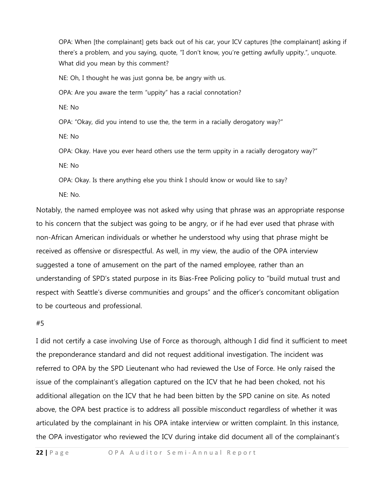OPA: When [the complainant] gets back out of his car, your ICV captures [the complainant] asking if there's a problem, and you saying, quote, "I don't know, you're getting awfully uppity.", unquote. What did you mean by this comment?

NE: Oh, I thought he was just gonna be, be angry with us.

OPA: Are you aware the term "uppity" has a racial connotation?

NE: No

OPA: "Okay, did you intend to use the, the term in a racially derogatory way?"

NE: No

OPA: Okay. Have you ever heard others use the term uppity in a racially derogatory way?"

NE: No

OPA: Okay. Is there anything else you think I should know or would like to say?

 $NF: No$ 

Notably, the named employee was not asked why using that phrase was an appropriate response to his concern that the subject was going to be angry, or if he had ever used that phrase with non-African American individuals or whether he understood why using that phrase might be received as offensive or disrespectful. As well, in my view, the audio of the OPA interview suggested a tone of amusement on the part of the named employee, rather than an understanding of SPD's stated purpose in its Bias-Free Policing policy to "build mutual trust and respect with Seattle's diverse communities and groups" and the officer's concomitant obligation to be courteous and professional.

#### #5

I did not certify a case involving Use of Force as thorough, although I did find it sufficient to meet the preponderance standard and did not request additional investigation. The incident was referred to OPA by the SPD Lieutenant who had reviewed the Use of Force. He only raised the issue of the complainant's allegation captured on the ICV that he had been choked, not his additional allegation on the ICV that he had been bitten by the SPD canine on site. As noted above, the OPA best practice is to address all possible misconduct regardless of whether it was articulated by the complainant in his OPA intake interview or written complaint. In this instance, the OPA investigator who reviewed the ICV during intake did document all of the complainant's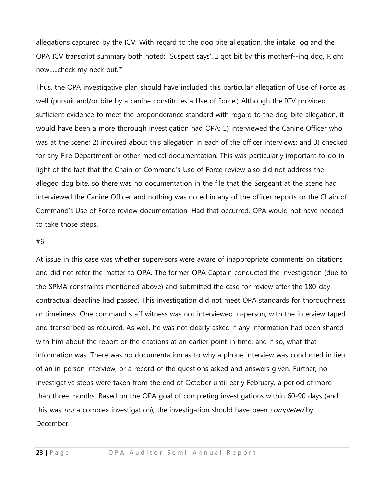allegations captured by the ICV. With regard to the dog bite allegation, the intake log and the OPA ICV transcript summary both noted: "Suspect says'…I got bit by this motherf--ing dog, Right now…..check my neck out.'"

Thus, the OPA investigative plan should have included this particular allegation of Use of Force as well (pursuit and/or bite by a canine constitutes a Use of Force.) Although the ICV provided sufficient evidence to meet the preponderance standard with regard to the dog-bite allegation, it would have been a more thorough investigation had OPA: 1) interviewed the Canine Officer who was at the scene; 2) inquired about this allegation in each of the officer interviews; and 3) checked for any Fire Department or other medical documentation. This was particularly important to do in light of the fact that the Chain of Command's Use of Force review also did not address the alleged dog bite, so there was no documentation in the file that the Sergeant at the scene had interviewed the Canine Officer and nothing was noted in any of the officer reports or the Chain of Command's Use of Force review documentation. Had that occurred, OPA would not have needed to take those steps.

#### #6

At issue in this case was whether supervisors were aware of inappropriate comments on citations and did not refer the matter to OPA. The former OPA Captain conducted the investigation (due to the SPMA constraints mentioned above) and submitted the case for review after the 180-day contractual deadline had passed. This investigation did not meet OPA standards for thoroughness or timeliness. One command staff witness was not interviewed in-person, with the interview taped and transcribed as required. As well, he was not clearly asked if any information had been shared with him about the report or the citations at an earlier point in time, and if so, what that information was. There was no documentation as to why a phone interview was conducted in lieu of an in-person interview, or a record of the questions asked and answers given. Further, no investigative steps were taken from the end of October until early February, a period of more than three months. Based on the OPA goal of completing investigations within 60-90 days (and this was *not* a complex investigation), the investigation should have been *completed* by December.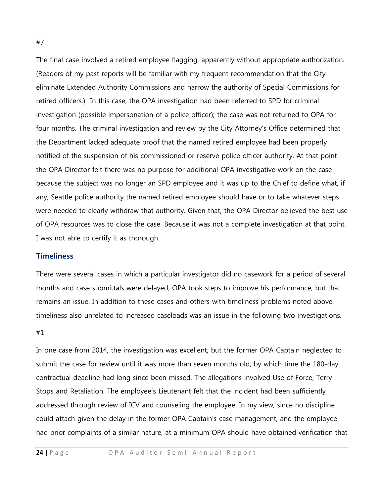The final case involved a retired employee flagging, apparently without appropriate authorization. (Readers of my past reports will be familiar with my frequent recommendation that the City eliminate Extended Authority Commissions and narrow the authority of Special Commissions for retired officers.) In this case, the OPA investigation had been referred to SPD for criminal investigation (possible impersonation of a police officer); the case was not returned to OPA for four months. The criminal investigation and review by the City Attorney's Office determined that the Department lacked adequate proof that the named retired employee had been properly notified of the suspension of his commissioned or reserve police officer authority. At that point the OPA Director felt there was no purpose for additional OPA investigative work on the case because the subject was no longer an SPD employee and it was up to the Chief to define what, if any, Seattle police authority the named retired employee should have or to take whatever steps were needed to clearly withdraw that authority. Given that, the OPA Director believed the best use of OPA resources was to close the case. Because it was not a complete investigation at that point, I was not able to certify it as thorough.

# **Timeliness**

There were several cases in which a particular investigator did no casework for a period of several months and case submittals were delayed; OPA took steps to improve his performance, but that remains an issue. In addition to these cases and others with timeliness problems noted above, timeliness also unrelated to increased caseloads was an issue in the following two investigations.

#### #1

In one case from 2014, the investigation was excellent, but the former OPA Captain neglected to submit the case for review until it was more than seven months old, by which time the 180-day contractual deadline had long since been missed. The allegations involved Use of Force, Terry Stops and Retaliation. The employee's Lieutenant felt that the incident had been sufficiently addressed through review of ICV and counseling the employee. In my view, since no discipline could attach given the delay in the former OPA Captain's case management, and the employee had prior complaints of a similar nature, at a minimum OPA should have obtained verification that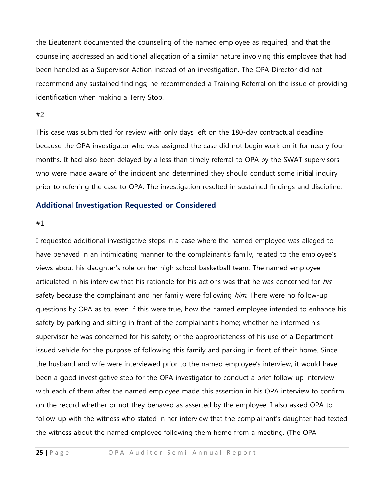the Lieutenant documented the counseling of the named employee as required, and that the counseling addressed an additional allegation of a similar nature involving this employee that had been handled as a Supervisor Action instead of an investigation. The OPA Director did not recommend any sustained findings; he recommended a Training Referral on the issue of providing identification when making a Terry Stop.

#### #2

This case was submitted for review with only days left on the 180-day contractual deadline because the OPA investigator who was assigned the case did not begin work on it for nearly four months. It had also been delayed by a less than timely referral to OPA by the SWAT supervisors who were made aware of the incident and determined they should conduct some initial inquiry prior to referring the case to OPA. The investigation resulted in sustained findings and discipline.

# **Additional Investigation Requested or Considered**

### #1

I requested additional investigative steps in a case where the named employee was alleged to have behaved in an intimidating manner to the complainant's family, related to the employee's views about his daughter's role on her high school basketball team. The named employee articulated in his interview that his rationale for his actions was that he was concerned for his safety because the complainant and her family were following him. There were no follow-up questions by OPA as to, even if this were true, how the named employee intended to enhance his safety by parking and sitting in front of the complainant's home; whether he informed his supervisor he was concerned for his safety; or the appropriateness of his use of a Departmentissued vehicle for the purpose of following this family and parking in front of their home. Since the husband and wife were interviewed prior to the named employee's interview, it would have been a good investigative step for the OPA investigator to conduct a brief follow-up interview with each of them after the named employee made this assertion in his OPA interview to confirm on the record whether or not they behaved as asserted by the employee. I also asked OPA to follow-up with the witness who stated in her interview that the complainant's daughter had texted the witness about the named employee following them home from a meeting. (The OPA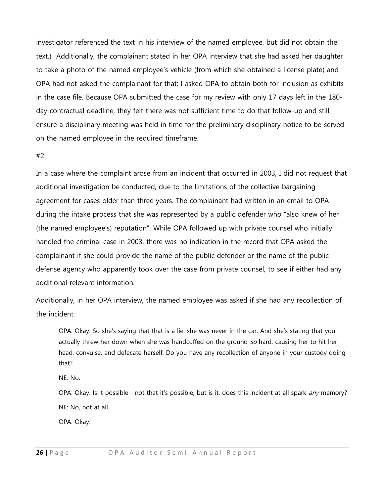investigator referenced the text in his interview of the named employee, but did not obtain the text.) Additionally, the complainant stated in her OPA interview that she had asked her daughter to take a photo of the named employee's vehicle (from which she obtained a license plate) and OPA had not asked the complainant for that; I asked OPA to obtain both for inclusion as exhibits in the case file. Because OPA submitted the case for my review with only 17 days left in the 180 day contractual deadline, they felt there was not sufficient time to do that follow-up and still ensure a disciplinary meeting was held in time for the preliminary disciplinary notice to be served on the named employee in the required timeframe.

#### #2

In a case where the complaint arose from an incident that occurred in 2003, I did not request that additional investigation be conducted, due to the limitations of the collective bargaining agreement for cases older than three years. The complainant had written in an email to OPA during the intake process that she was represented by a public defender who "also knew of her (the named employee's) reputation". While OPA followed up with private counsel who initially handled the criminal case in 2003, there was no indication in the record that OPA asked the complainant if she could provide the name of the public defender or the name of the public defense agency who apparently took over the case from private counsel, to see if either had any additional relevant information.

Additionally, in her OPA interview, the named employee was asked if she had any recollection of the incident:

OPA: Okay. So she's saying that that is a lie, she was never in the car. And she's stating that you actually threw her down when she was handcuffed on the ground  $\overline{s}$  bard, causing her to hit her head, convulse, and defecate herself. Do you have any recollection of anyone in your custody doing that?

NE: No.

OPA: Okay. Is it possible—not that it's possible, but is it, does this incident at all spark *any* memory? NE: No, not at all.

OPA: Okay.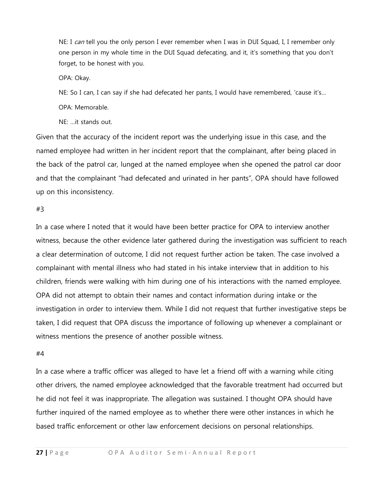NE: I can tell you the only person I ever remember when I was in DUI Squad, I, I remember only one person in my whole time in the DUI Squad defecating, and it, it's something that you don't forget, to be honest with you.

OPA: Okay.

NE: So I can, I can say if she had defecated her pants, I would have remembered, 'cause it's…

OPA: Memorable.

NE: …it stands out.

Given that the accuracy of the incident report was the underlying issue in this case, and the named employee had written in her incident report that the complainant, after being placed in the back of the patrol car, lunged at the named employee when she opened the patrol car door and that the complainant "had defecated and urinated in her pants", OPA should have followed up on this inconsistency.

# #3

In a case where I noted that it would have been better practice for OPA to interview another witness, because the other evidence later gathered during the investigation was sufficient to reach a clear determination of outcome, I did not request further action be taken. The case involved a complainant with mental illness who had stated in his intake interview that in addition to his children, friends were walking with him during one of his interactions with the named employee. OPA did not attempt to obtain their names and contact information during intake or the investigation in order to interview them. While I did not request that further investigative steps be taken, I did request that OPA discuss the importance of following up whenever a complainant or witness mentions the presence of another possible witness.

# #4

In a case where a traffic officer was alleged to have let a friend off with a warning while citing other drivers, the named employee acknowledged that the favorable treatment had occurred but he did not feel it was inappropriate. The allegation was sustained. I thought OPA should have further inquired of the named employee as to whether there were other instances in which he based traffic enforcement or other law enforcement decisions on personal relationships.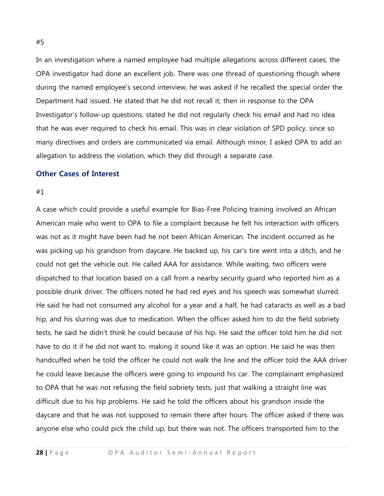In an investigation where a named employee had multiple allegations across different cases, the OPA investigator had done an excellent job. There was one thread of questioning though where during the named employee's second interview, he was asked if he recalled the special order the Department had issued. He stated that he did not recall it; then in response to the OPA Investigator's follow-up questions, stated he did not regularly check his email and had no idea that he was ever required to check his email. This was in clear violation of SPD policy, since so many directives and orders are communicated via email. Although minor, I asked OPA to add an allegation to address the violation, which they did through a separate case.

#### **Other Cases of Interest**

#### #1

A case which could provide a useful example for Bias-Free Policing training involved an African American male who went to OPA to file a complaint because he felt his interaction with officers was not as it might have been had he not been African American. The incident occurred as he was picking up his grandson from daycare. He backed up, his car's tire went into a ditch, and he could not get the vehicle out. He called AAA for assistance. While waiting, two officers were dispatched to that location based on a call from a nearby security guard who reported him as a possible drunk driver. The officers noted he had red eyes and his speech was somewhat slurred. He said he had not consumed any alcohol for a year and a half, he had cataracts as well as a bad hip, and his slurring was due to medication. When the officer asked him to do the field sobriety tests, he said he didn't think he could because of his hip. He said the officer told him he did not have to do it if he did not want to, making it sound like it was an option. He said he was then handcuffed when he told the officer he could not walk the line and the officer told the AAA driver he could leave because the officers were going to impound his car. The complainant emphasized to OPA that he was not refusing the field sobriety tests, just that walking a straight line was difficult due to his hip problems. He said he told the officers about his grandson inside the daycare and that he was not supposed to remain there after hours. The officer asked if there was anyone else who could pick the child up, but there was not. The officers transported him to the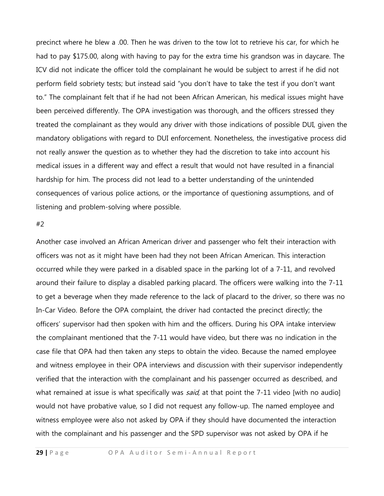precinct where he blew a .00. Then he was driven to the tow lot to retrieve his car, for which he had to pay \$175.00, along with having to pay for the extra time his grandson was in daycare. The ICV did not indicate the officer told the complainant he would be subject to arrest if he did not perform field sobriety tests; but instead said "you don't have to take the test if you don't want to." The complainant felt that if he had not been African American, his medical issues might have been perceived differently. The OPA investigation was thorough, and the officers stressed they treated the complainant as they would any driver with those indications of possible DUI, given the mandatory obligations with regard to DUI enforcement. Nonetheless, the investigative process did not really answer the question as to whether they had the discretion to take into account his medical issues in a different way and effect a result that would not have resulted in a financial hardship for him. The process did not lead to a better understanding of the unintended consequences of various police actions, or the importance of questioning assumptions, and of listening and problem-solving where possible.

#### #2

Another case involved an African American driver and passenger who felt their interaction with officers was not as it might have been had they not been African American. This interaction occurred while they were parked in a disabled space in the parking lot of a 7-11, and revolved around their failure to display a disabled parking placard. The officers were walking into the 7-11 to get a beverage when they made reference to the lack of placard to the driver, so there was no In-Car Video. Before the OPA complaint, the driver had contacted the precinct directly; the officers' supervisor had then spoken with him and the officers. During his OPA intake interview the complainant mentioned that the 7-11 would have video, but there was no indication in the case file that OPA had then taken any steps to obtain the video. Because the named employee and witness employee in their OPA interviews and discussion with their supervisor independently verified that the interaction with the complainant and his passenger occurred as described, and what remained at issue is what specifically was said, at that point the 7-11 video [with no audio] would not have probative value, so I did not request any follow-up. The named employee and witness employee were also not asked by OPA if they should have documented the interaction with the complainant and his passenger and the SPD supervisor was not asked by OPA if he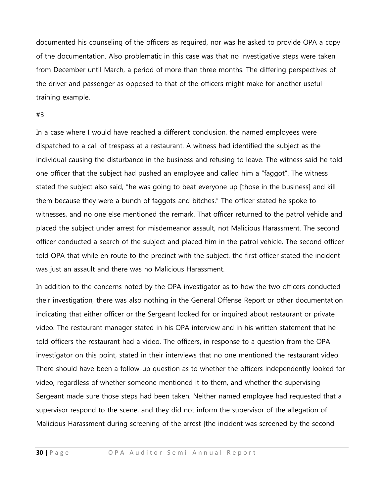documented his counseling of the officers as required, nor was he asked to provide OPA a copy of the documentation. Also problematic in this case was that no investigative steps were taken from December until March, a period of more than three months. The differing perspectives of the driver and passenger as opposed to that of the officers might make for another useful training example.

#### #3

In a case where I would have reached a different conclusion, the named employees were dispatched to a call of trespass at a restaurant. A witness had identified the subject as the individual causing the disturbance in the business and refusing to leave. The witness said he told one officer that the subject had pushed an employee and called him a "faggot". The witness stated the subject also said, "he was going to beat everyone up [those in the business] and kill them because they were a bunch of faggots and bitches." The officer stated he spoke to witnesses, and no one else mentioned the remark. That officer returned to the patrol vehicle and placed the subject under arrest for misdemeanor assault, not Malicious Harassment. The second officer conducted a search of the subject and placed him in the patrol vehicle. The second officer told OPA that while en route to the precinct with the subject, the first officer stated the incident was just an assault and there was no Malicious Harassment.

In addition to the concerns noted by the OPA investigator as to how the two officers conducted their investigation, there was also nothing in the General Offense Report or other documentation indicating that either officer or the Sergeant looked for or inquired about restaurant or private video. The restaurant manager stated in his OPA interview and in his written statement that he told officers the restaurant had a video. The officers, in response to a question from the OPA investigator on this point, stated in their interviews that no one mentioned the restaurant video. There should have been a follow-up question as to whether the officers independently looked for video, regardless of whether someone mentioned it to them, and whether the supervising Sergeant made sure those steps had been taken. Neither named employee had requested that a supervisor respond to the scene, and they did not inform the supervisor of the allegation of Malicious Harassment during screening of the arrest [the incident was screened by the second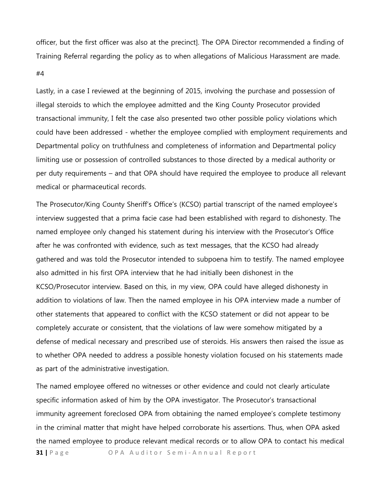officer, but the first officer was also at the precinct]. The OPA Director recommended a finding of Training Referral regarding the policy as to when allegations of Malicious Harassment are made.

#### #4

Lastly, in a case I reviewed at the beginning of 2015, involving the purchase and possession of illegal steroids to which the employee admitted and the King County Prosecutor provided transactional immunity, I felt the case also presented two other possible policy violations which could have been addressed - whether the employee complied with employment requirements and Departmental policy on truthfulness and completeness of information and Departmental policy limiting use or possession of controlled substances to those directed by a medical authority or per duty requirements – and that OPA should have required the employee to produce all relevant medical or pharmaceutical records.

The Prosecutor/King County Sheriff's Office's (KCSO) partial transcript of the named employee's interview suggested that a prima facie case had been established with regard to dishonesty. The named employee only changed his statement during his interview with the Prosecutor's Office after he was confronted with evidence, such as text messages, that the KCSO had already gathered and was told the Prosecutor intended to subpoena him to testify. The named employee also admitted in his first OPA interview that he had initially been dishonest in the KCSO/Prosecutor interview. Based on this, in my view, OPA could have alleged dishonesty in addition to violations of law. Then the named employee in his OPA interview made a number of other statements that appeared to conflict with the KCSO statement or did not appear to be completely accurate or consistent, that the violations of law were somehow mitigated by a defense of medical necessary and prescribed use of steroids. His answers then raised the issue as to whether OPA needed to address a possible honesty violation focused on his statements made as part of the administrative investigation.

The named employee offered no witnesses or other evidence and could not clearly articulate specific information asked of him by the OPA investigator. The Prosecutor's transactional immunity agreement foreclosed OPA from obtaining the named employee's complete testimony in the criminal matter that might have helped corroborate his assertions. Thus, when OPA asked the named employee to produce relevant medical records or to allow OPA to contact his medical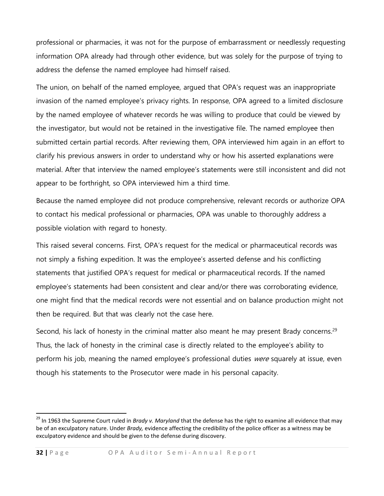professional or pharmacies, it was not for the purpose of embarrassment or needlessly requesting information OPA already had through other evidence, but was solely for the purpose of trying to address the defense the named employee had himself raised.

The union, on behalf of the named employee, argued that OPA's request was an inappropriate invasion of the named employee's privacy rights. In response, OPA agreed to a limited disclosure by the named employee of whatever records he was willing to produce that could be viewed by the investigator, but would not be retained in the investigative file. The named employee then submitted certain partial records. After reviewing them, OPA interviewed him again in an effort to clarify his previous answers in order to understand why or how his asserted explanations were material. After that interview the named employee's statements were still inconsistent and did not appear to be forthright, so OPA interviewed him a third time.

Because the named employee did not produce comprehensive, relevant records or authorize OPA to contact his medical professional or pharmacies, OPA was unable to thoroughly address a possible violation with regard to honesty.

This raised several concerns. First, OPA's request for the medical or pharmaceutical records was not simply a fishing expedition. It was the employee's asserted defense and his conflicting statements that justified OPA's request for medical or pharmaceutical records. If the named employee's statements had been consistent and clear and/or there was corroborating evidence, one might find that the medical records were not essential and on balance production might not then be required. But that was clearly not the case here.

Second, his lack of honesty in the criminal matter also meant he may present Brady concerns.<sup>29</sup> Thus, the lack of honesty in the criminal case is directly related to the employee's ability to perform his job, meaning the named employee's professional duties *were* squarely at issue, even though his statements to the Prosecutor were made in his personal capacity.

<sup>29</sup> In 1963 the Supreme Court ruled in *Brady v. Maryland* that the defense has the right to examine all evidence that may be of an exculpatory nature. Under *Brady,* evidence affecting the credibility of the police officer as a witness may be exculpatory evidence and should be given to the defense during discovery.